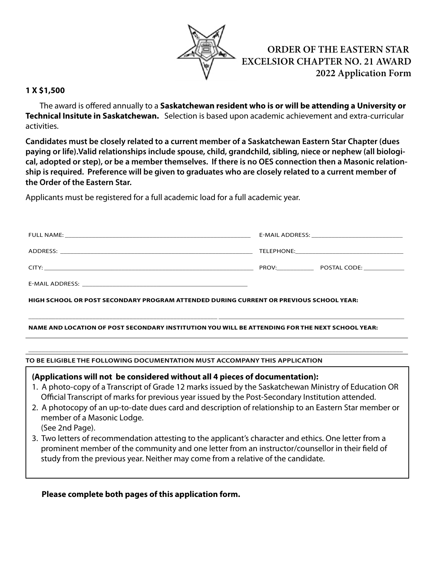

**ORDER OF THE EASTERN STAR EXCELSIOR CHAPTER NO. 21 AWARD 2022 Application Form**

## **1 X \$1,500**

 The award is offered annually to a **Saskatchewan resident who is or will be attending a University or Technical Insitute in Saskatchewan.** Selection is based upon academic achievement and extra-curricular activities.

**Candidates must be closely related to a current member of a Saskatchewan Eastern Star Chapter (dues paying or life).Valid relationships include spouse, child, grandchild, sibling, niece or nephew (all biological, adopted or step), or be a member themselves. If there is no OES connection then a Masonic relationship is required. Preference will be given to graduates who are closely related to a current member of the Order of the Eastern Star.** 

Applicants must be registered for a full academic load for a full academic year.

| <b>FULL NAME:</b>                                                                                                              |            | E-MAIL ADDRESS: New York State State State State State State State State State State State State State State S |
|--------------------------------------------------------------------------------------------------------------------------------|------------|----------------------------------------------------------------------------------------------------------------|
| ADDRESS:                                                                                                                       | TELEPHONE: |                                                                                                                |
| CITY:<br><u> 1990 - Jan Samuel Barbara, martin da shekara ta 1991 - An tsara tsa a shekara tsa 1991 - An tsara tsa 1991 - </u> | PROV:      | POSTAL CODE:                                                                                                   |
| E-MAIL ADDRESS:                                                                                                                |            |                                                                                                                |

**\_\_\_\_\_\_\_\_\_\_\_\_\_\_\_\_\_\_\_\_\_\_\_\_\_\_\_\_\_\_\_\_\_\_\_\_\_\_\_\_\_\_\_\_\_\_\_\_\_\_\_\_\_\_\_\_ \_\_\_\_\_\_\_\_\_\_\_\_\_\_\_\_\_\_\_\_\_\_\_\_\_\_\_\_\_\_\_\_\_\_\_\_\_\_\_\_\_\_\_\_\_\_\_\_\_\_\_\_\_\_\_**

 $\_$  , and the set of the set of the set of the set of the set of the set of the set of the set of the set of the set of the set of the set of the set of the set of the set of the set of the set of the set of the set of th

**HIGH SCHOOL or POST SECONDARY PROGRAM ATTENDED DURING CURRENT OR PREVIOUS SCHOOL YEAR:**

## **NAME AND LOCATION of POST SECONDARY INSTITUTION YOU WILL BE ATTENDING FOR THE NEXT SCHOOL YEAR:**

**TO BE ELIGIBLE THE FOLLOWING DOCUMENTATION MUST ACCOMPANY THIS APPLICATION** 

**(Applications will not be considered without all 4 pieces of documentation):**

- 1. A photo-copy of a Transcript of Grade 12 marks issued by the Saskatchewan Ministry of Education OR Official Transcript of marks for previous year issued by the Post-Secondary Institution attended.
- 2. A photocopy of an up-to-date dues card and description of relationship to an Eastern Star member or member of a Masonic Lodge. (See 2nd Page).
- 3. Two letters of recommendation attesting to the applicant's character and ethics. One letter from a prominent member of the community and one letter from an instructor/counsellor in their field of study from the previous year. Neither may come from a relative of the candidate.

## **Please complete both pages of this application form.**